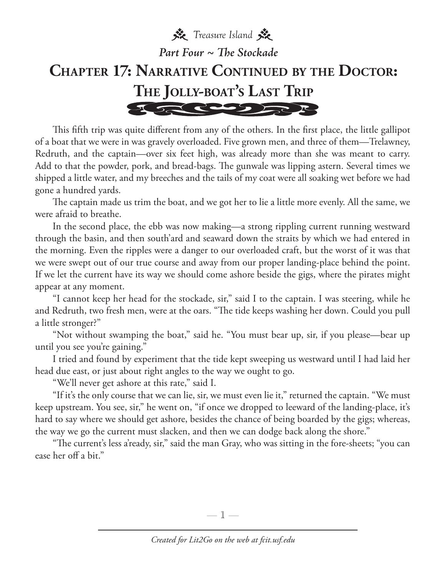

This fifth trip was quite different from any of the others. In the first place, the little gallipot of a boat that we were in was gravely overloaded. Five grown men, and three of them—Trelawney, Redruth, and the captain—over six feet high, was already more than she was meant to carry. Add to that the powder, pork, and bread-bags. The gunwale was lipping astern. Several times we shipped a little water, and my breeches and the tails of my coat were all soaking wet before we had gone a hundred yards.

The captain made us trim the boat, and we got her to lie a little more evenly. All the same, we were afraid to breathe.

In the second place, the ebb was now making—a strong rippling current running westward through the basin, and then south'ard and seaward down the straits by which we had entered in the morning. Even the ripples were a danger to our overloaded craft, but the worst of it was that we were swept out of our true course and away from our proper landing-place behind the point. If we let the current have its way we should come ashore beside the gigs, where the pirates might appear at any moment.

"I cannot keep her head for the stockade, sir," said I to the captain. I was steering, while he and Redruth, two fresh men, were at the oars. "The tide keeps washing her down. Could you pull a little stronger?"

"Not without swamping the boat," said he. "You must bear up, sir, if you please—bear up until you see you're gaining."

I tried and found by experiment that the tide kept sweeping us westward until I had laid her head due east, or just about right angles to the way we ought to go.

"We'll never get ashore at this rate," said I.

"If it's the only course that we can lie, sir, we must even lie it," returned the captain. "We must keep upstream. You see, sir," he went on, "if once we dropped to leeward of the landing-place, it's hard to say where we should get ashore, besides the chance of being boarded by the gigs; whereas, the way we go the current must slacken, and then we can dodge back along the shore."

"The current's less a'ready, sir," said the man Gray, who was sitting in the fore-sheets; "you can ease her off a bit."

—  $\mathbb{1}$  —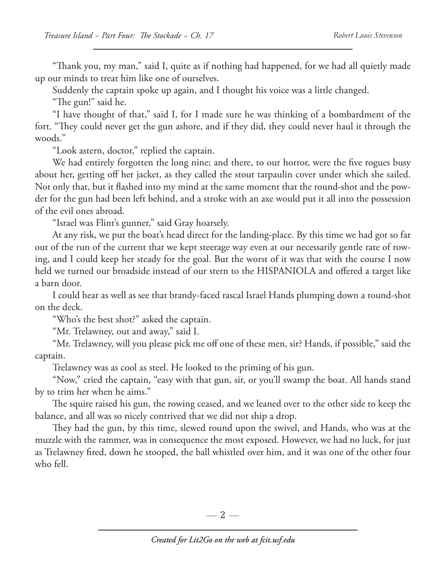"Thank you, my man," said I, quite as if nothing had happened, for we had all quietly made up our minds to treat him like one of ourselves.

Suddenly the captain spoke up again, and I thought his voice was a little changed.

"The gun!" said he.

"I have thought of that," said I, for I made sure he was thinking of a bombardment of the fort. "They could never get the gun ashore, and if they did, they could never haul it through the woods."

"Look astern, doctor," replied the captain.

We had entirely forgotten the long nine; and there, to our horror, were the five rogues busy about her, getting off her jacket, as they called the stout tarpaulin cover under which she sailed. Not only that, but it flashed into my mind at the same moment that the round-shot and the powder for the gun had been left behind, and a stroke with an axe would put it all into the possession of the evil ones abroad.

"Israel was Flint's gunner," said Gray hoarsely.

At any risk, we put the boat's head direct for the landing-place. By this time we had got so far out of the run of the current that we kept steerage way even at our necessarily gentle rate of rowing, and I could keep her steady for the goal. But the worst of it was that with the course I now held we turned our broadside instead of our stern to the HISPANIOLA and offered a target like a barn door.

I could hear as well as see that brandy-faced rascal Israel Hands plumping down a round-shot on the deck.

"Who's the best shot?" asked the captain.

"Mr. Trelawney, out and away," said I.

"Mr. Trelawney, will you please pick me off one of these men, sir? Hands, if possible," said the captain.

Trelawney was as cool as steel. He looked to the priming of his gun.

"Now," cried the captain, "easy with that gun, sir, or you'll swamp the boat. All hands stand by to trim her when he aims."

The squire raised his gun, the rowing ceased, and we leaned over to the other side to keep the balance, and all was so nicely contrived that we did not ship a drop.

They had the gun, by this time, slewed round upon the swivel, and Hands, who was at the muzzle with the rammer, was in consequence the most exposed. However, we had no luck, for just as Trelawney fired, down he stooped, the ball whistled over him, and it was one of the other four who fell.

— 2 —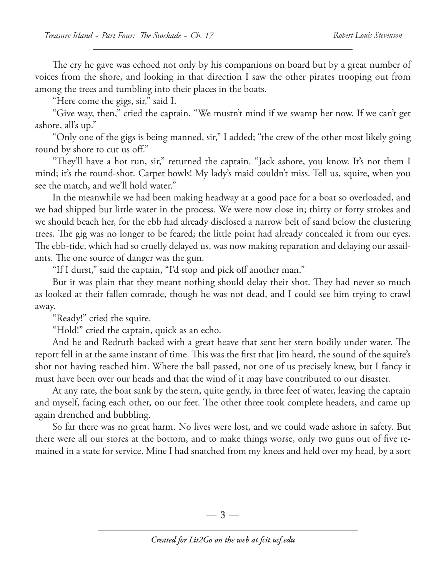The cry he gave was echoed not only by his companions on board but by a great number of voices from the shore, and looking in that direction I saw the other pirates trooping out from among the trees and tumbling into their places in the boats.

"Here come the gigs, sir," said I.

"Give way, then," cried the captain. "We mustn't mind if we swamp her now. If we can't get ashore, all's up."

"Only one of the gigs is being manned, sir," I added; "the crew of the other most likely going round by shore to cut us off."

"They'll have a hot run, sir," returned the captain. "Jack ashore, you know. It's not them I mind; it's the round-shot. Carpet bowls! My lady's maid couldn't miss. Tell us, squire, when you see the match, and we'll hold water."

In the meanwhile we had been making headway at a good pace for a boat so overloaded, and we had shipped but little water in the process. We were now close in; thirty or forty strokes and we should beach her, for the ebb had already disclosed a narrow belt of sand below the clustering trees. The gig was no longer to be feared; the little point had already concealed it from our eyes. The ebb-tide, which had so cruelly delayed us, was now making reparation and delaying our assailants. The one source of danger was the gun.

"If I durst," said the captain, "I'd stop and pick off another man."

But it was plain that they meant nothing should delay their shot. They had never so much as looked at their fallen comrade, though he was not dead, and I could see him trying to crawl away.

"Ready!" cried the squire.

"Hold!" cried the captain, quick as an echo.

And he and Redruth backed with a great heave that sent her stern bodily under water. The report fell in at the same instant of time. This was the first that Jim heard, the sound of the squire's shot not having reached him. Where the ball passed, not one of us precisely knew, but I fancy it must have been over our heads and that the wind of it may have contributed to our disaster.

At any rate, the boat sank by the stern, quite gently, in three feet of water, leaving the captain and myself, facing each other, on our feet. The other three took complete headers, and came up again drenched and bubbling.

So far there was no great harm. No lives were lost, and we could wade ashore in safety. But there were all our stores at the bottom, and to make things worse, only two guns out of five remained in a state for service. Mine I had snatched from my knees and held over my head, by a sort

—  $3-$